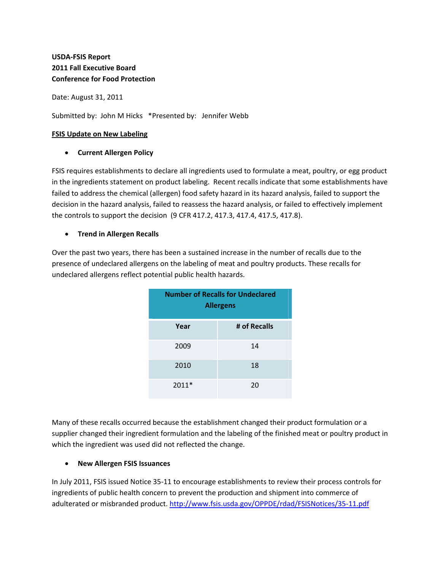# **USDA‐FSIS Report 2011 Fall Executive Board Conference for Food Protection**

Date: August 31, 2011

Submitted by: John M Hicks \*Presented by: Jennifer Webb

#### **FSIS Update on New Labeling**

#### • **Current Allergen Policy**

FSIS requires establishments to declare all ingredients used to formulate a meat, poultry, or egg product in the ingredients statement on product labeling. Recent recalls indicate that some establishments have failed to address the chemical (allergen) food safety hazard in its hazard analysis, failed to support the decision in the hazard analysis, failed to reassess the hazard analysis, or failed to effectively implement the controls to support the decision (9 CFR 417.2, 417.3, 417.4, 417.5, 417.8).

## • **Trend in Allergen Recalls**

Over the past two years, there has been a sustained increase in the number of recalls due to the presence of undeclared allergens on the labeling of meat and poultry products. These recalls for undeclared allergens reflect potential public health hazards.

| <b>Number of Recalls for Undeclared</b><br><b>Allergens</b> |              |
|-------------------------------------------------------------|--------------|
| Year                                                        | # of Recalls |
| 2009                                                        | 14           |
| 2010                                                        | 18           |
| 2011*                                                       | 20           |

Many of these recalls occurred because the establishment changed their product formulation or a supplier changed their ingredient formulation and the labeling of the finished meat or poultry product in which the ingredient was used did not reflected the change.

## • **New Allergen FSIS Issuances**

In July 2011, FSIS issued Notice 35‐11 to encourage establishments to review their process controls for ingredients of public health concern to prevent the production and shipment into commerce of adulterated or misbranded product. [http://www.fsis.usda.gov/OPPDE/rdad/FSISNotices/35](http://www.fsis.usda.gov/OPPDE/rdad/FSISNotices/35-11.pdf)‐11.pdf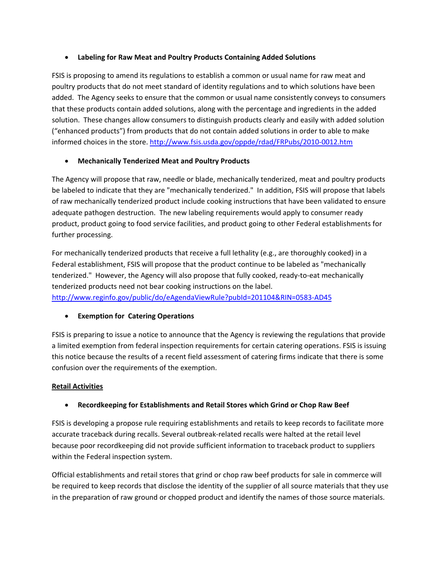#### • **Labeling for Raw Meat and Poultry Products Containing Added Solutions**

FSIS is proposing to amend its regulations to establish a common or usual name for raw meat and poultry products that do not meet standard of identity regulations and to which solutions have been added. The Agency seeks to ensure that the common or usual name consistently conveys to consumers that these products contain added solutions, along with the percentage and ingredients in the added solution. These changes allow consumers to distinguish products clearly and easily with added solution ("enhanced products") from products that do not contain added solutions in order to able to make informed choices in the store. [http://www.fsis.usda.gov/oppde/rdad/FRPubs/2010](http://www.fsis.usda.gov/oppde/rdad/FRPubs/2010-0012.htm)‐0012.htm

## • **Mechanically Tenderized Meat and Poultry Products**

The Agency will propose that raw, needle or blade, mechanically tenderized, meat and poultry products be labeled to indicate that they are "mechanically tenderized." In addition, FSIS will propose that labels of raw mechanically tenderized product include cooking instructions that have been validated to ensure adequate pathogen destruction. The new labeling requirements would apply to consumer ready product, product going to food service facilities, and product going to other Federal establishments for further processing.

For mechanically tenderized products that receive a full lethality (e.g., are thoroughly cooked) in a Federal establishment, FSIS will propose that the product continue to be labeled as "mechanically tenderized." However, the Agency will also propose that fully cooked, ready‐to‐eat mechanically tenderized products need not bear cooking instructions on the label. [http://www.reginfo.gov/public/do/eAgendaViewRule?pubId=201104&RIN=0583](http://www.reginfo.gov/public/do/eAgendaViewRule?pubId=201104&RIN=0583-AD45)‐AD45

## • **Exemption for Catering Operations**

FSIS is preparing to issue a notice to announce that the Agency is reviewing the regulations that provide a limited exemption from federal inspection requirements for certain catering operations. FSIS is issuing this notice because the results of a recent field assessment of catering firms indicate that there is some confusion over the requirements of the exemption.

#### **Retail Activities**

## • **Recordkeeping for Establishments and Retail Stores which Grind or Chop Raw Beef**

FSIS is developing a propose rule requiring establishments and retails to keep records to facilitate more accurate traceback during recalls. Several outbreak‐related recalls were halted at the retail level because poor recordkeeping did not provide sufficient information to traceback product to suppliers within the Federal inspection system.

Official establishments and retail stores that grind or chop raw beef products for sale in commerce will be required to keep records that disclose the identity of the supplier of all source materials that they use in the preparation of raw ground or chopped product and identify the names of those source materials.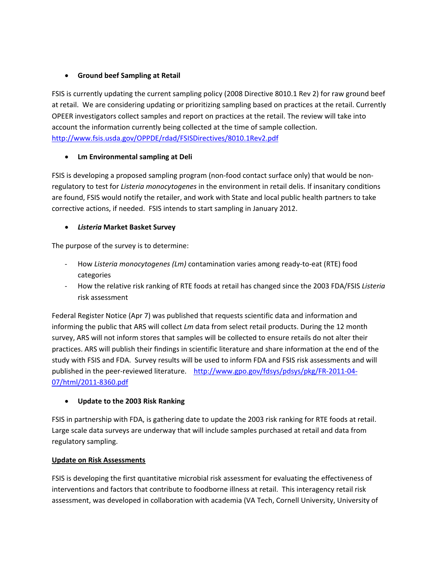## • **Ground beef Sampling at Retail**

FSIS is currently updating the current sampling policy (2008 Directive 8010.1 Rev 2) for raw ground beef at retail. We are considering updating or prioritizing sampling based on practices at the retail. Currently OPEER investigators collect samples and report on practices at the retail. The review will take into account the information currently being collected at the time of sample collection. <http://www.fsis.usda.gov/OPPDE/rdad/FSISDirectives/8010.1Rev2.pdf>

## • **Lm Environmental sampling at Deli**

FSIS is developing a proposed sampling program (non-food contact surface only) that would be nonregulatory to test for *Listeria monocytogenes* in the environment in retail delis. If insanitary conditions are found, FSIS would notify the retailer, and work with State and local public health partners to take corrective actions, if needed. FSIS intends to start sampling in January 2012.

## • *Listeria* **Market Basket Survey**

The purpose of the survey is to determine:

- ‐ How *Listeria monocytogenes (Lm)* contamination varies among ready‐to‐eat (RTE) food categories
- ‐ How the relative risk ranking of RTE foods at retail has changed since the 2003 FDA/FSIS *Listeria* risk assessment

Federal Register Notice (Apr 7) was published that requests scientific data and information and informing the public that ARS will collect *Lm* data from select retail products. During the 12 month survey, ARS will not inform stores that samples will be collected to ensure retails do not alter their practices. ARS will publish their findings in scientific literature and share information at the end of the study with FSIS and FDA. Survey results will be used to inform FDA and FSIS risk assessments and will published in the peer-reviewed literature. [http://www.gpo.gov/fdsys/pdsys/pkg/FR](http://www.gpo.gov/fdsys/pdsys/pkg/FR-2011-04-07/html/2011-8360.pdf)-2011-04-[07/html/2011](http://www.gpo.gov/fdsys/pdsys/pkg/FR-2011-04-07/html/2011-8360.pdf)‐8360.pdf

## • **Update to the 2003 Risk Ranking**

FSIS in partnership with FDA, is gathering date to update the 2003 risk ranking for RTE foods at retail. Large scale data surveys are underway that will include samples purchased at retail and data from regulatory sampling.

## **Update on Risk Assessments**

FSIS is developing the first quantitative microbial risk assessment for evaluating the effectiveness of interventions and factors that contribute to foodborne illness at retail. This interagency retail risk assessment, was developed in collaboration with academia (VA Tech, Cornell University, University of